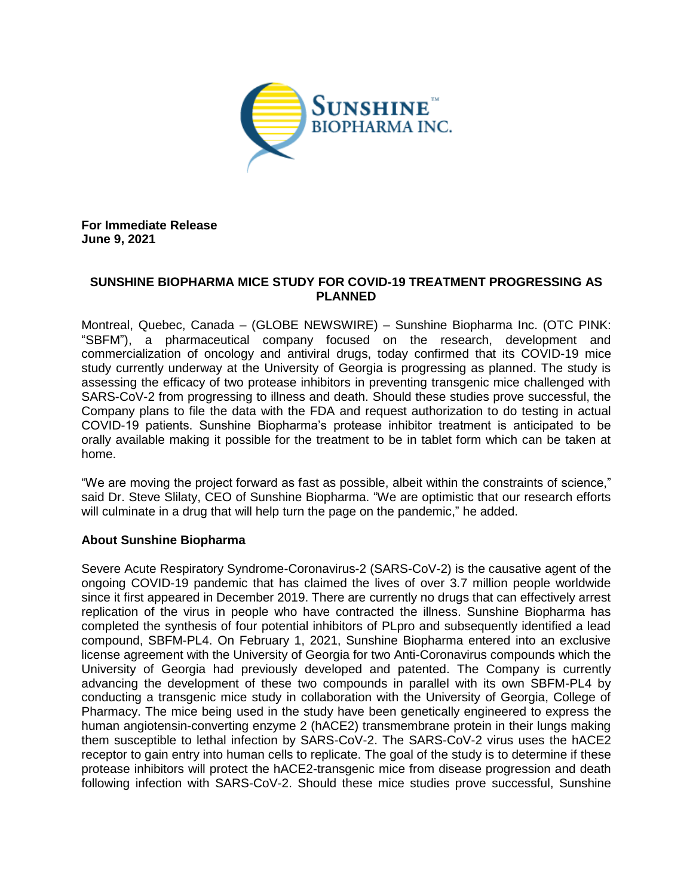

**For Immediate Release June 9, 2021**

## **SUNSHINE BIOPHARMA MICE STUDY FOR COVID-19 TREATMENT PROGRESSING AS PLANNED**

Montreal, Quebec, Canada – (GLOBE NEWSWIRE) – Sunshine Biopharma Inc. (OTC PINK: "SBFM"), a pharmaceutical company focused on the research, development and commercialization of oncology and antiviral drugs, today confirmed that its COVID-19 mice study currently underway at the University of Georgia is progressing as planned. The study is assessing the efficacy of two protease inhibitors in preventing transgenic mice challenged with SARS-CoV-2 from progressing to illness and death. Should these studies prove successful, the Company plans to file the data with the FDA and request authorization to do testing in actual COVID-19 patients. Sunshine Biopharma's protease inhibitor treatment is anticipated to be orally available making it possible for the treatment to be in tablet form which can be taken at home.

"We are moving the project forward as fast as possible, albeit within the constraints of science," said Dr. Steve Slilaty, CEO of Sunshine Biopharma. "We are optimistic that our research efforts will culminate in a drug that will help turn the page on the pandemic," he added.

## **About Sunshine Biopharma**

Severe Acute Respiratory Syndrome-Coronavirus-2 (SARS-CoV-2) is the causative agent of the ongoing COVID-19 pandemic that has claimed the lives of over 3.7 million people worldwide since it first appeared in December 2019. There are currently no drugs that can effectively arrest replication of the virus in people who have contracted the illness. Sunshine Biopharma has completed the synthesis of four potential inhibitors of PLpro and subsequently identified a lead compound, SBFM-PL4. On February 1, 2021, Sunshine Biopharma entered into an exclusive license agreement with the University of Georgia for two Anti-Coronavirus compounds which the University of Georgia had previously developed and patented. The Company is currently advancing the development of these two compounds in parallel with its own SBFM-PL4 by conducting a transgenic mice study in collaboration with the University of Georgia, College of Pharmacy. The mice being used in the study have been genetically engineered to express the human angiotensin-converting enzyme 2 (hACE2) transmembrane protein in their lungs making them susceptible to lethal infection by SARS-CoV-2. The SARS-CoV-2 virus uses the hACE2 receptor to gain entry into human cells to replicate. The goal of the study is to determine if these protease inhibitors will protect the hACE2-transgenic mice from disease progression and death following infection with SARS-CoV-2. Should these mice studies prove successful, Sunshine